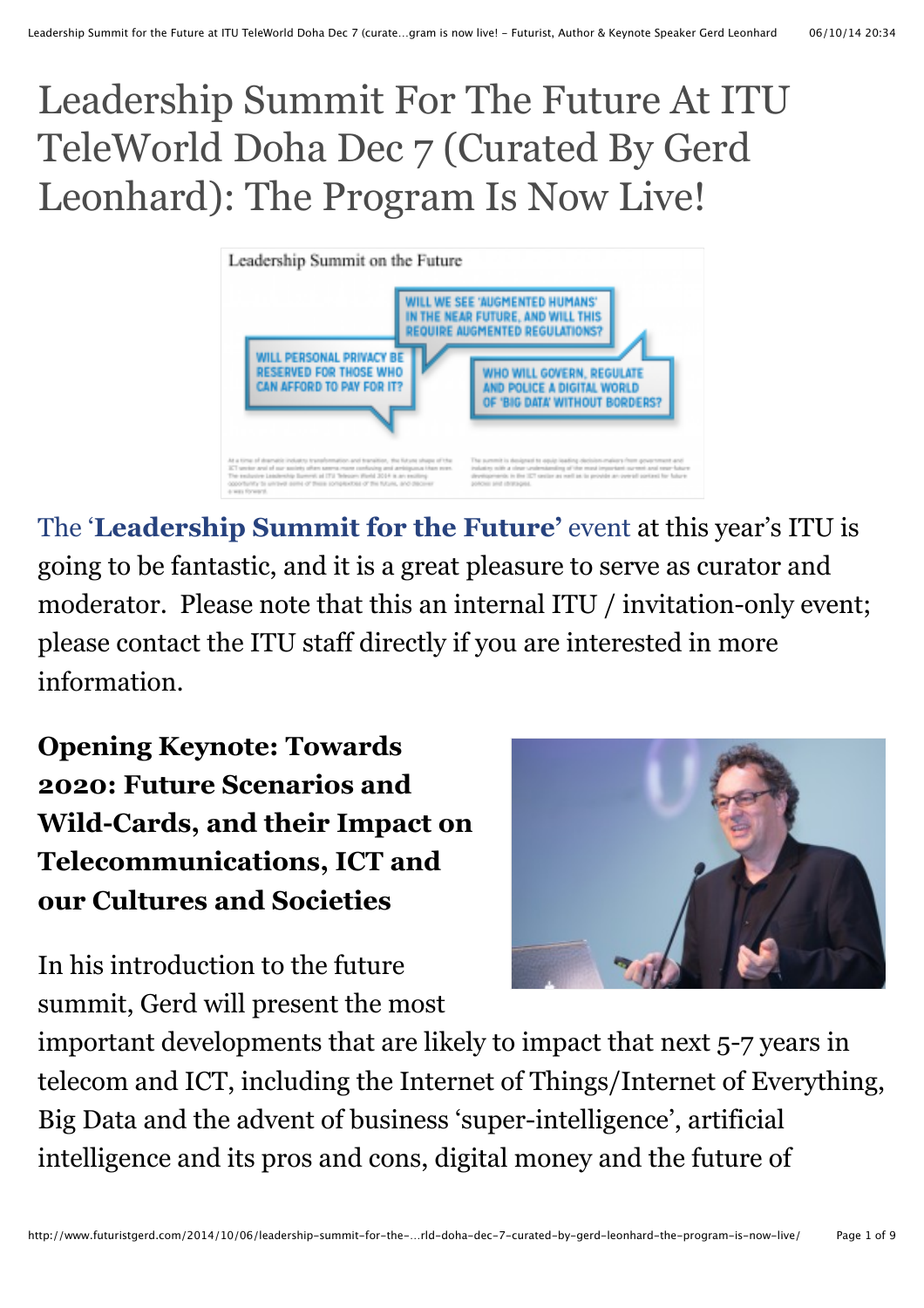# Leadership Summit For The Future At ITU TeleWorld Doha Dec 7 (Curated By Gerd Leonhard): The Program Is Now Live!



The '**[Leadership Summit for the Future'](http://telecomworld.itu.int/world-2014/programme/leadership-summit/)** event at this year's ITU is going to be fantastic, and it is a great pleasure to serve as curator and moderator. Please note that this an internal ITU / invitation-only event; please contact the ITU staff directly if you are interested in more information.

**Opening Keynote: Towards 2020: Future Scenarios and Wild-Cards, and their Impact on Telecommunications, ICT and our Cultures and Societies**



In his introduction to the future summit, Gerd will present the most

important developments that are likely to impact that next 5-7 years in telecom and ICT, including the Internet of Things/Internet of Everything, Big Data and the advent of business 'super-intelligence', artificial intelligence and its pros and cons, digital money and the future of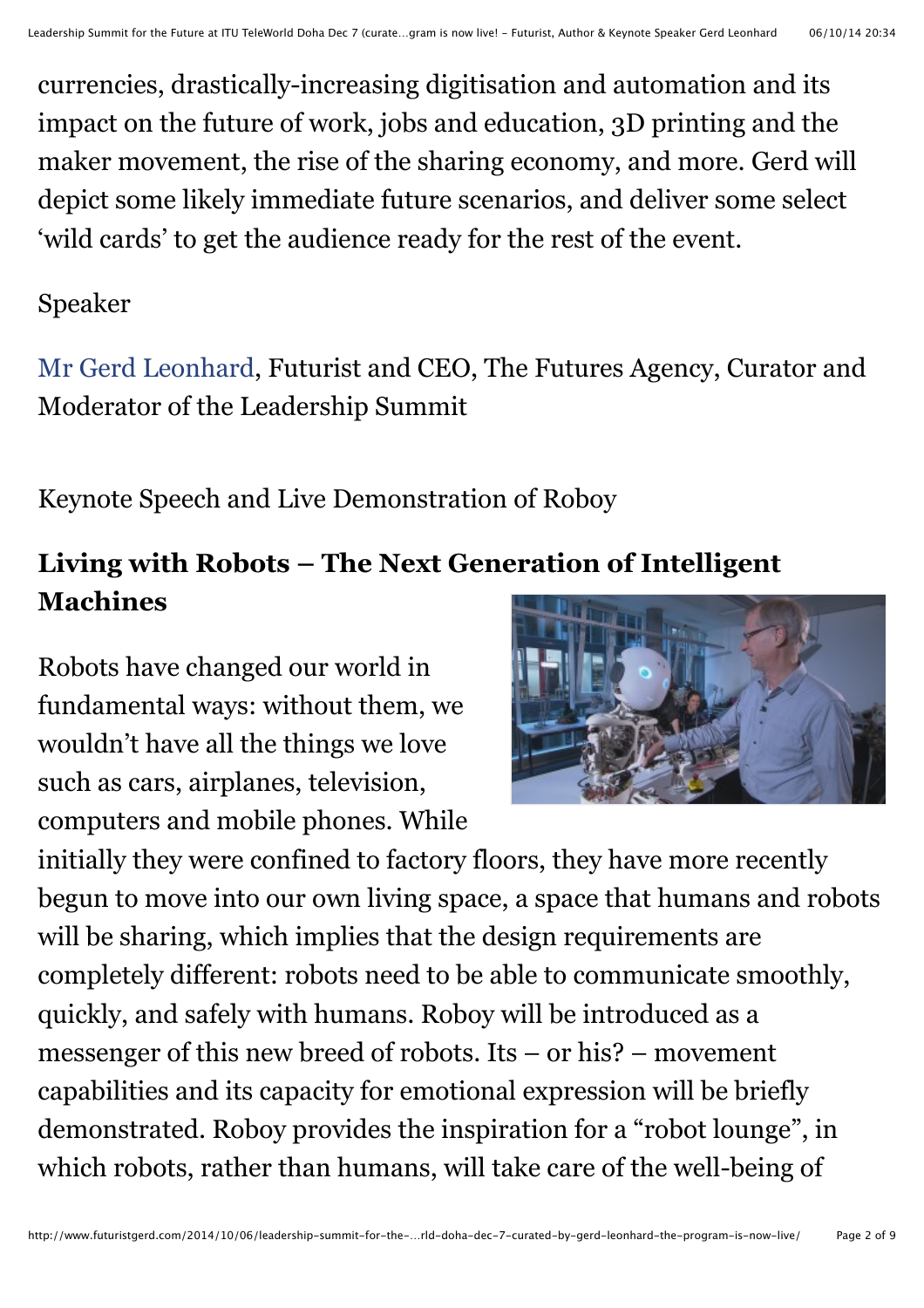currencies, drastically-increasing digitisation and automation and its impact on the future of work, jobs and education, 3D printing and the maker movement, the rise of the sharing economy, and more. Gerd will depict some likely immediate future scenarios, and deliver some select 'wild cards' to get the audience ready for the rest of the event.

#### Speaker

[Mr Gerd Leonhard,](http://www.itu.int/net4/Telecom/webs/TelecomWorld/participant/description/1200026424) Futurist and CEO, The Futures Agency, Curator and Moderator of the Leadership Summit

Keynote Speech and Live Demonstration of Roboy

## **Living with Robots – The Next Generation of Intelligent Machines**

Robots have changed our world in fundamental ways: without them, we wouldn't have all the things we love such as cars, airplanes, television, computers and mobile phones. While



initially they were confined to factory floors, they have more recently begun to move into our own living space, a space that humans and robots will be sharing, which implies that the design requirements are completely different: robots need to be able to communicate smoothly, quickly, and safely with humans. Roboy will be introduced as a messenger of this new breed of robots. Its – or his? – movement capabilities and its capacity for emotional expression will be briefly demonstrated. Roboy provides the inspiration for a "robot lounge", in which robots, rather than humans, will take care of the well-being of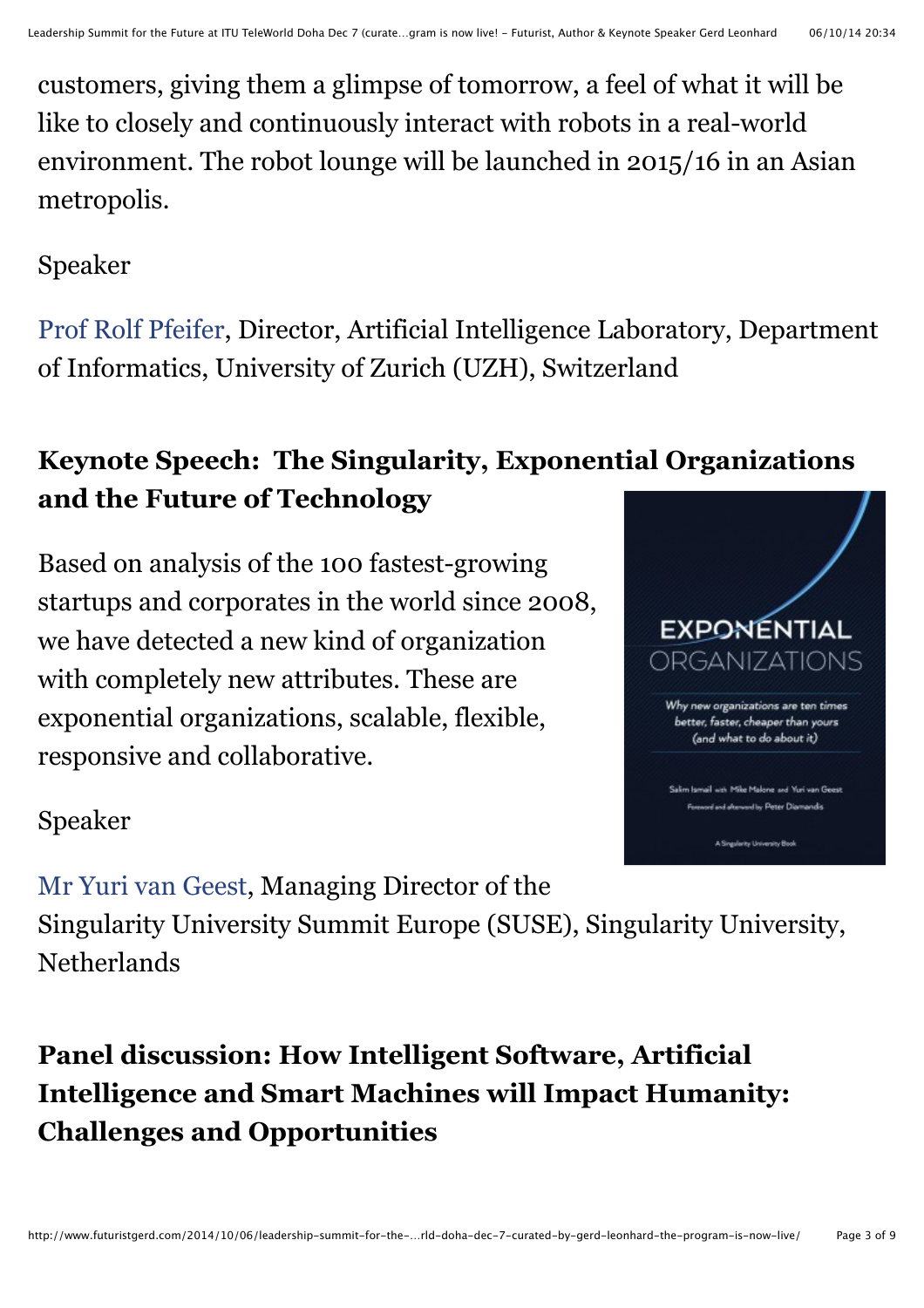customers, giving them a glimpse of tomorrow, a feel of what it will be like to closely and continuously interact with robots in a real-world environment. The robot lounge will be launched in 2015/16 in an Asian metropolis.

#### Speaker

[Prof Rolf Pfeifer,](http://www.itu.int/net4/Telecom/webs/TelecomWorld/participant/description/1200032355) Director, Artificial Intelligence Laboratory, Department of Informatics, University of Zurich (UZH), Switzerland

# **Keynote Speech: The Singularity, Exponential Organizations and the Future of Technology**

Based on analysis of the 100 fastest-growing startups and corporates in the world since 2008, we have detected a new kind of organization with completely new attributes. These are exponential organizations, scalable, flexible, responsive and collaborative.



#### Speaker

[Mr Yuri van Geest,](http://www.itu.int/net4/Telecom/webs/TelecomWorld/participant/description/1200016847) Managing Director of the

Singularity University Summit Europe (SUSE), Singularity University, **Netherlands** 

# **Panel discussion: How Intelligent Software, Artificial Intelligence and Smart Machines will Impact Humanity: Challenges and Opportunities**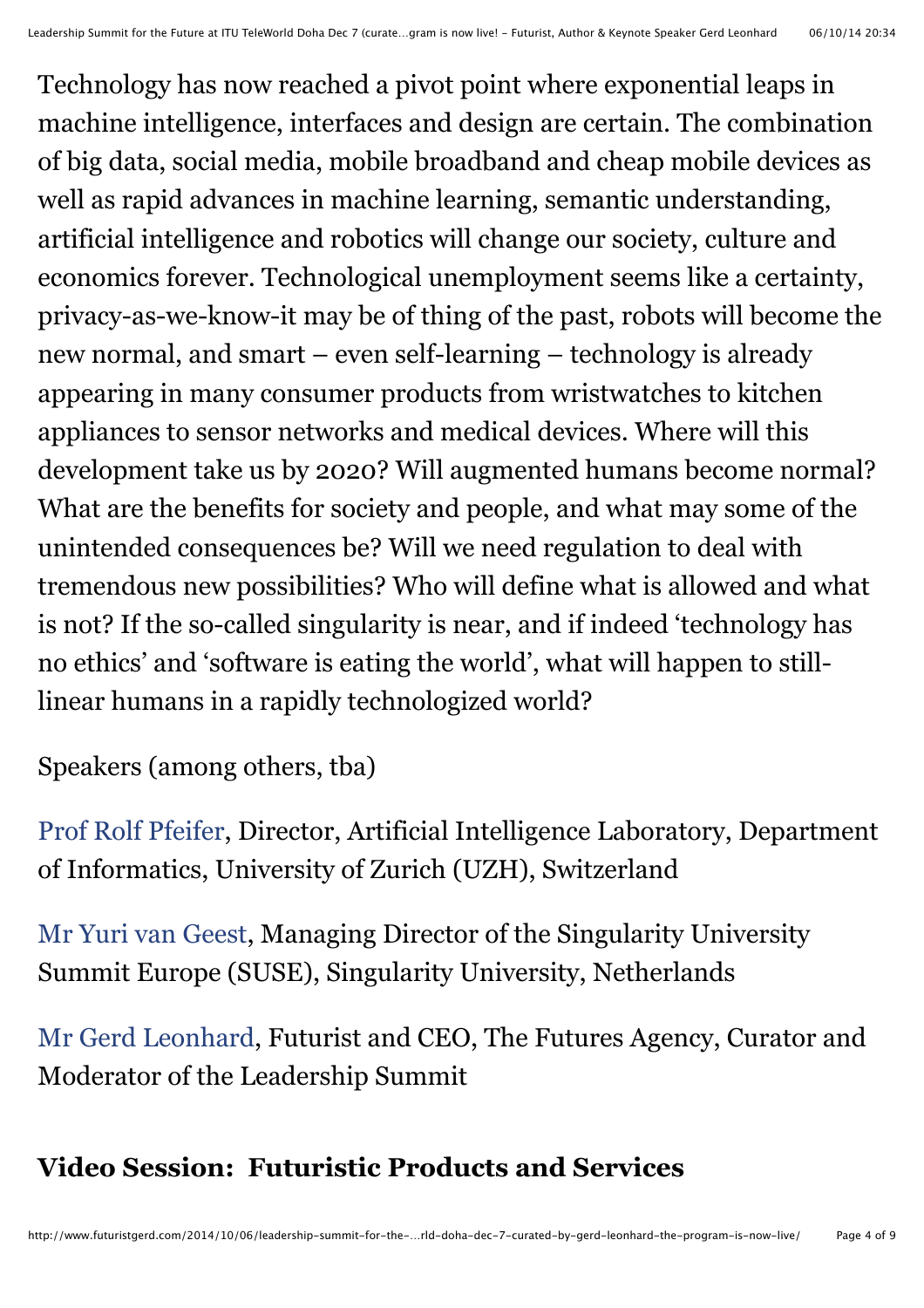Technology has now reached a pivot point where exponential leaps in machine intelligence, interfaces and design are certain. The combination of big data, social media, mobile broadband and cheap mobile devices as well as rapid advances in machine learning, semantic understanding, artificial intelligence and robotics will change our society, culture and economics forever. Technological unemployment seems like a certainty, privacy-as-we-know-it may be of thing of the past, robots will become the new normal, and smart – even self-learning – technology is already appearing in many consumer products from wristwatches to kitchen appliances to sensor networks and medical devices. Where will this development take us by 2020? Will augmented humans become normal? What are the benefits for society and people, and what may some of the unintended consequences be? Will we need regulation to deal with tremendous new possibilities? Who will define what is allowed and what is not? If the so-called singularity is near, and if indeed 'technology has no ethics' and 'software is eating the world', what will happen to stilllinear humans in a rapidly technologized world?

Speakers (among others, tba)

[Prof Rolf Pfeifer,](http://www.itu.int/net4/Telecom/webs/TelecomWorld/participant/description/1200032355) Director, Artificial Intelligence Laboratory, Department of Informatics, University of Zurich (UZH), Switzerland

[Mr Yuri van Geest,](http://www.itu.int/net4/Telecom/webs/TelecomWorld/participant/description/1200016847) Managing Director of the Singularity University Summit Europe (SUSE), Singularity University, Netherlands

[Mr Gerd Leonhard,](http://www.itu.int/net4/Telecom/webs/TelecomWorld/participant/description/1200026424) Futurist and CEO, The Futures Agency, Curator and Moderator of the Leadership Summit

#### **Video Session: Futuristic Products and Services**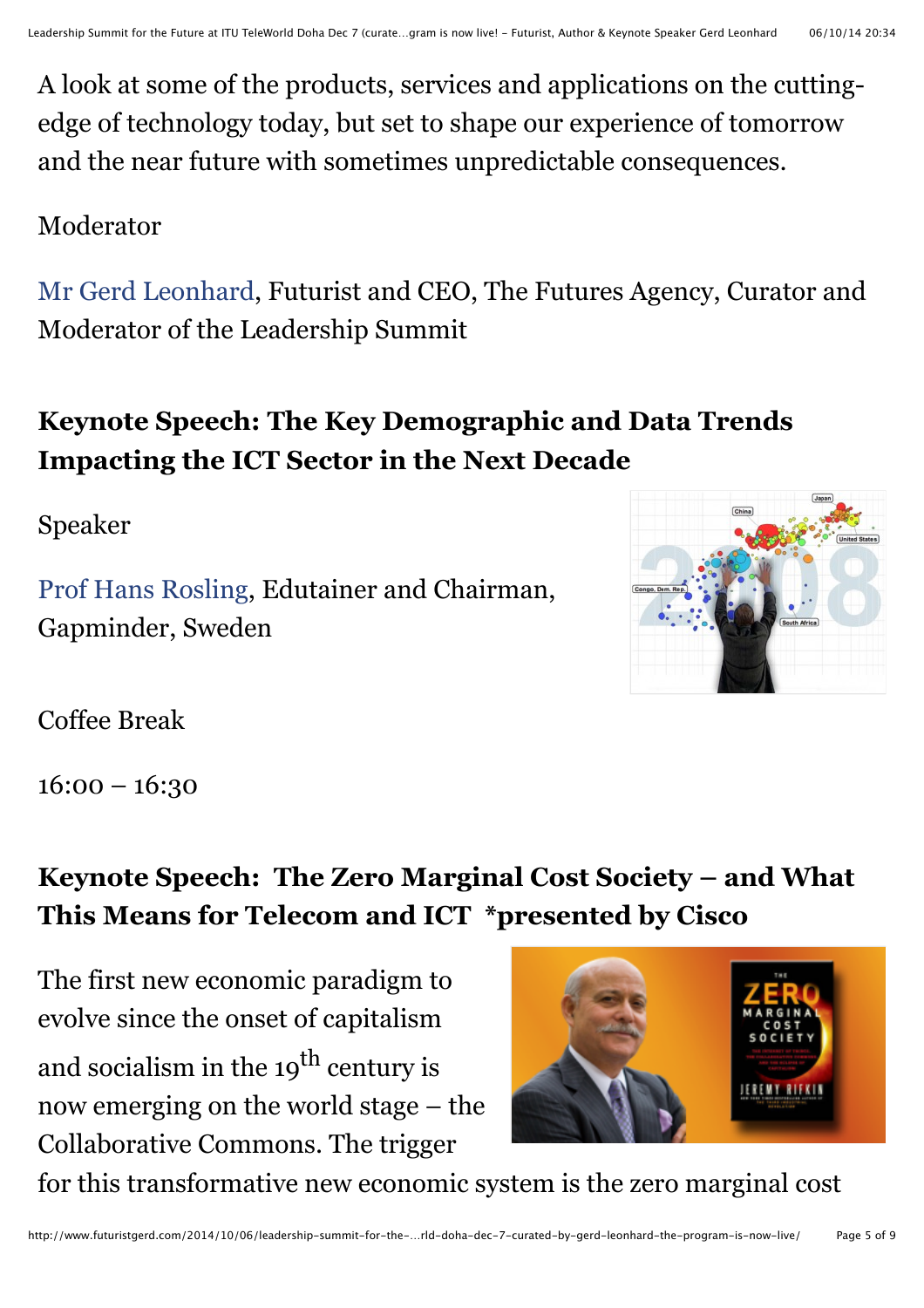A look at some of the products, services and applications on the cuttingedge of technology today, but set to shape our experience of tomorrow and the near future with sometimes unpredictable consequences.

#### Moderator

[Mr Gerd Leonhard,](http://www.itu.int/net4/Telecom/webs/TelecomWorld/participant/description/1200026424) Futurist and CEO, The Futures Agency, Curator and Moderator of the Leadership Summit

# **Keynote Speech: The Key Demographic and Data Trends Impacting the ICT Sector in the Next Decade**

Speaker

[Prof Hans Rosling,](http://www.itu.int/net4/Telecom/webs/TelecomWorld/participant/description/1200031935) Edutainer and Chairman, Gapminder, Sweden



Coffee Break

16:00 – 16:30

# **Keynote Speech: The Zero Marginal Cost Society – and What This Means for Telecom and ICT \*presented by Cisco**

The first new economic paradigm to evolve since the onset of capitalism and socialism in the 19<sup>th</sup> century is now emerging on the world stage – the Collaborative Commons. The trigger



for this transformative new economic system is the zero marginal cost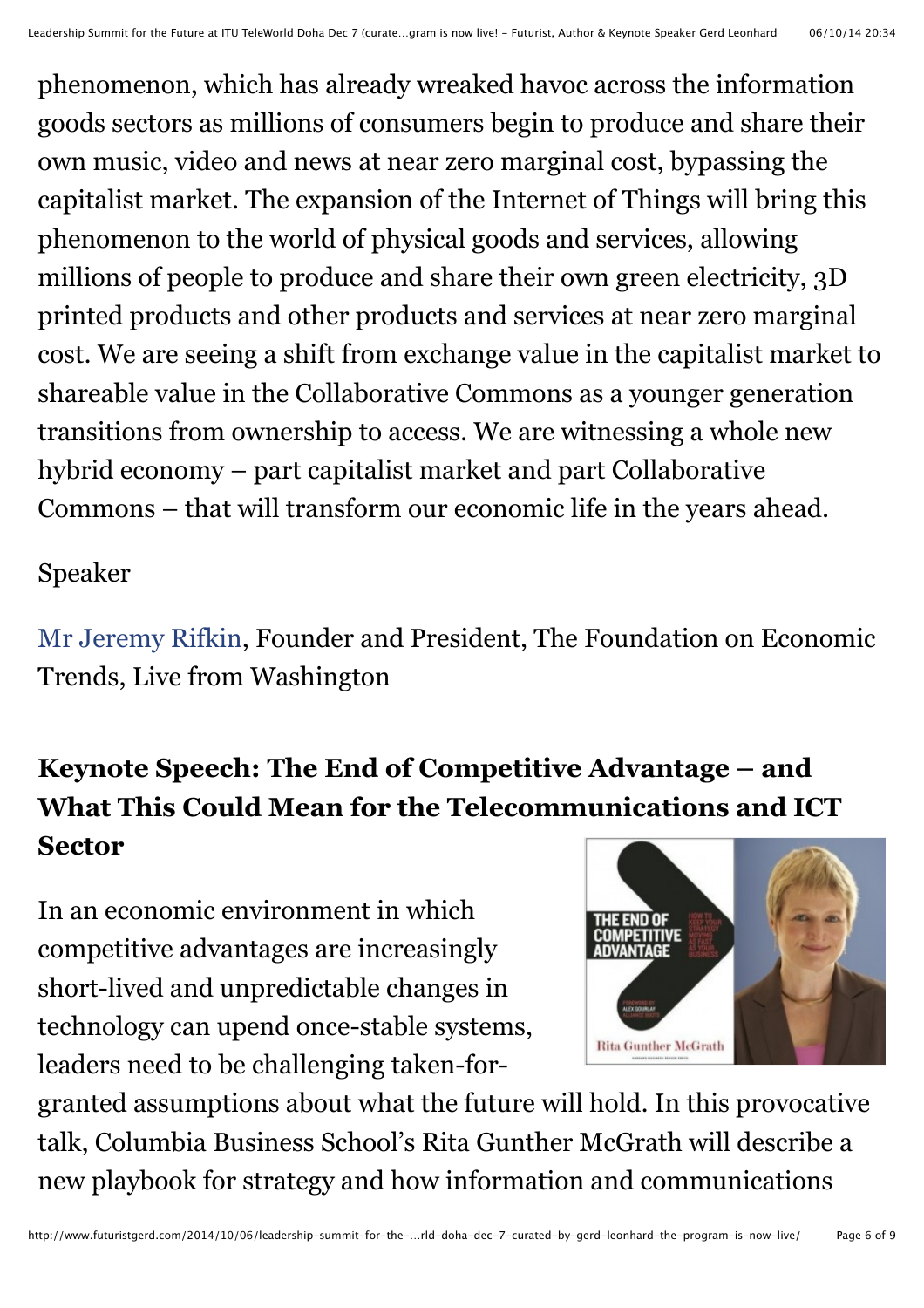phenomenon, which has already wreaked havoc across the information goods sectors as millions of consumers begin to produce and share their own music, video and news at near zero marginal cost, bypassing the capitalist market. The expansion of the Internet of Things will bring this phenomenon to the world of physical goods and services, allowing millions of people to produce and share their own green electricity, 3D printed products and other products and services at near zero marginal cost. We are seeing a shift from exchange value in the capitalist market to shareable value in the Collaborative Commons as a younger generation transitions from ownership to access. We are witnessing a whole new hybrid economy – part capitalist market and part Collaborative Commons – that will transform our economic life in the years ahead.

#### Speaker

[Mr Jeremy Rifkin,](http://www.itu.int/net4/Telecom/webs/TelecomWorld/participant/description/1200032634) Founder and President, The Foundation on Economic Trends, Live from Washington

# **Keynote Speech: The End of Competitive Advantage – and What This Could Mean for the Telecommunications and ICT Sector**

In an economic environment in which competitive advantages are increasingly short-lived and unpredictable changes in technology can upend once-stable systems, leaders need to be challenging taken-for-



granted assumptions about what the future will hold. In this provocative talk, Columbia Business School's Rita Gunther McGrath will describe a new playbook for strategy and how information and communications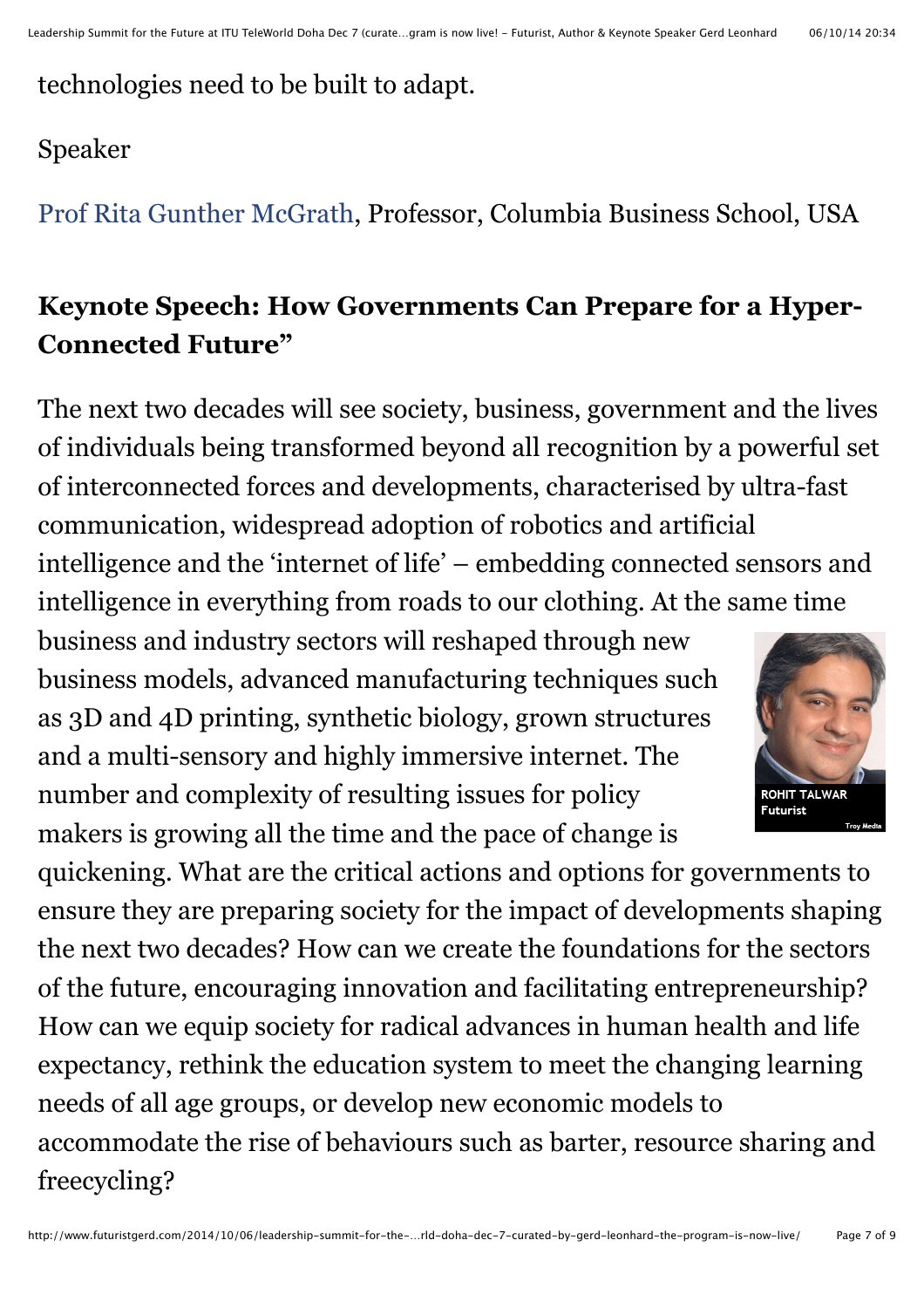### technologies need to be built to adapt.

#### Speaker

[Prof Rita Gunther McGrath,](http://www.itu.int/net4/Telecom/webs/TelecomWorld/participant/description/1200031938) Professor, Columbia Business School, USA

## **Keynote Speech: How Governments Can Prepare for a Hyper-Connected Future"**

The next two decades will see society, business, government and the lives of individuals being transformed beyond all recognition by a powerful set of interconnected forces and developments, characterised by ultra-fast communication, widespread adoption of robotics and artificial intelligence and the 'internet of life' – embedding connected sensors and intelligence in everything from roads to our clothing. At the same time

business and industry sectors will reshaped through new business models, advanced manufacturing techniques such as 3D and 4D printing, synthetic biology, grown structures and a multi-sensory and highly immersive internet. The number and complexity of resulting issues for policy makers is growing all the time and the pace of change is



quickening. What are the critical actions and options for governments to ensure they are preparing society for the impact of developments shaping the next two decades? How can we create the foundations for the sectors of the future, encouraging innovation and facilitating entrepreneurship? How can we equip society for radical advances in human health and life expectancy, rethink the education system to meet the changing learning needs of all age groups, or develop new economic models to accommodate the rise of behaviours such as barter, resource sharing and freecycling?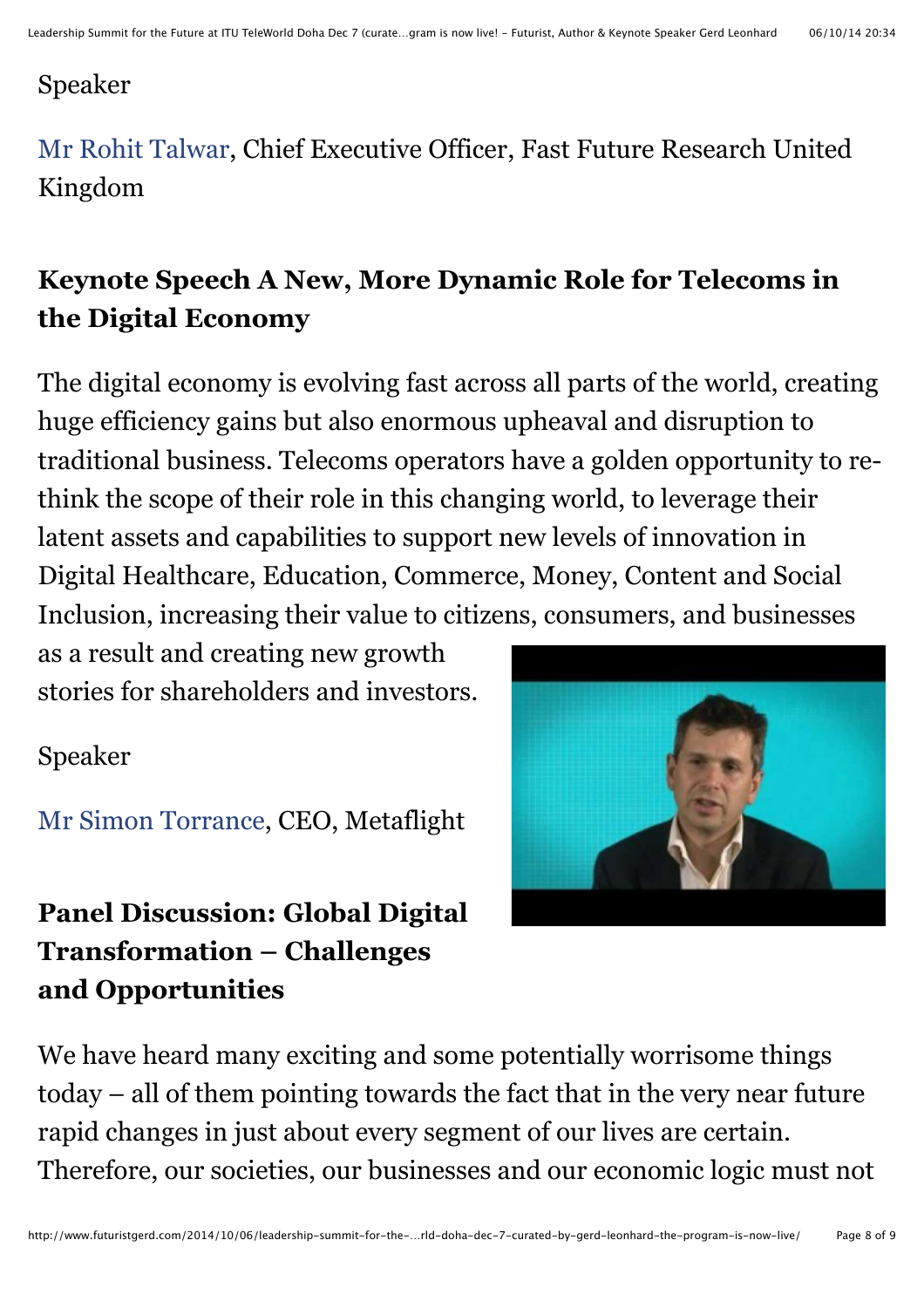#### Speaker

[Mr Rohit Talwar,](http://www.itu.int/net4/Telecom/webs/TelecomWorld/participant/description/1200013802) Chief Executive Officer, Fast Future Research United Kingdom

# **Keynote Speech A New, More Dynamic Role for Telecoms in the Digital Economy**

The digital economy is evolving fast across all parts of the world, creating huge efficiency gains but also enormous upheaval and disruption to traditional business. Telecoms operators have a golden opportunity to rethink the scope of their role in this changing world, to leverage their latent assets and capabilities to support new levels of innovation in Digital Healthcare, Education, Commerce, Money, Content and Social Inclusion, increasing their value to citizens, consumers, and businesses

as a result and creating new growth stories for shareholders and investors.

#### Speaker

[Mr Simon Torrance,](http://www.itu.int/net4/Telecom/webs/TelecomWorld/participant/description/1200018695) CEO, Metaflight

# **Panel Discussion: Global Digital Transformation – Challenges and Opportunities**



We have heard many exciting and some potentially worrisome things today – all of them pointing towards the fact that in the very near future rapid changes in just about every segment of our lives are certain. Therefore, our societies, our businesses and our economic logic must not